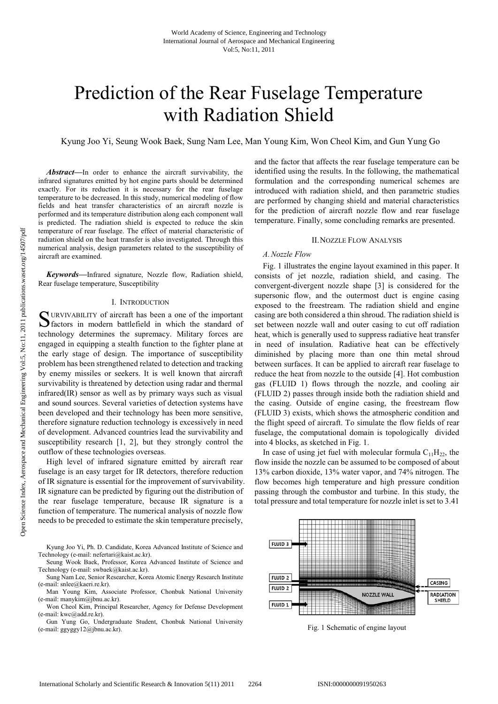# Prediction of the Rear Fuselage Temperature with Radiation Shield

Kyung Joo Yi, Seung Wook Baek, Sung Nam Lee, Man Young Kim, Won Cheol Kim, and Gun Yung Go

*Abstract***—**In order to enhance the aircraft survivability, the infrared signatures emitted by hot engine parts should be determined exactly. For its reduction it is necessary for the rear fuselage temperature to be decreased. In this study, numerical modeling of flow fields and heat transfer characteristics of an aircraft nozzle is performed and its temperature distribution along each component wall is predicted. The radiation shield is expected to reduce the skin temperature of rear fuselage. The effect of material characteristic of radiation shield on the heat transfer is also investigated. Through this numerical analysis, design parameters related to the susceptibility of aircraft are examined.

*Keywords***—**Infrared signature, Nozzle flow, Radiation shield, Rear fuselage temperature, Susceptibility

#### I. INTRODUCTION

SURVIVABILITY of aircraft has been a one of the important<br>
Stactors in modern battlefield in which the standard of factors in modern battlefield in which the standard of technology determines the supremacy. Military forces are engaged in equipping a stealth function to the fighter plane at the early stage of design. The importance of susceptibility problem has been strengthened related to detection and tracking by enemy missiles or seekers. It is well known that aircraft survivability is threatened by detection using radar and thermal infrared(IR) sensor as well as by primary ways such as visual and sound sources. Several varieties of detection systems have been developed and their technology has been more sensitive, therefore signature reduction technology is excessively in need of development. Advanced countries lead the survivability and susceptibility research [1, 2], but they strongly control the outflow of these technologies overseas.

High level of infrared signature emitted by aircraft rear fuselage is an easy target for IR detectors, therefore reduction of IR signature is essential for the improvement of survivability. IR signature can be predicted by figuring out the distribution of the rear fuselage temperature, because IR signature is a function of temperature. The numerical analysis of nozzle flow needs to be preceded to estimate the skin temperature precisely,

- Kyung Joo Yi, Ph. D. Candidate, Korea Advanced Institute of Science and Technology (e-mail: nefertari@kaist.ac.kr).
- Seung Wook Baek, Professor, Korea Advanced Institute of Science and Technology (e-mail: swbaek@kaist.ac.kr).
- Sung Nam Lee, Senior Researcher, Korea Atomic Energy Research Institute (e-mail: snlee@kaeri.re.kr).
- Man Young Kim, Associate Professor, Chonbuk National University (e-mail: manykim@jbnu.ac.kr).
- Won Cheol Kim, Principal Researcher, Agency for Defense Development (e-mail: kwc@add.re.kr).
- Gun Yung Go, Undergraduate Student, Chonbuk National University (e-mail: ggyggy12@jbnu.ac.kr).

and the factor that affects the rear fuselage temperature can be identified using the results. In the following, the mathematical formulation and the corresponding numerical schemes are introduced with radiation shield, and then parametric studies are performed by changing shield and material characteristics for the prediction of aircraft nozzle flow and rear fuselage temperature. Finally, some concluding remarks are presented.

#### II.NOZZLE FLOW ANALYSIS

#### *A. Nozzle Flow*

Fig. 1 illustrates the engine layout examined in this paper. It consists of jet nozzle, radiation shield, and casing. The convergent-divergent nozzle shape [3] is considered for the supersonic flow, and the outermost duct is engine casing exposed to the freestream. The radiation shield and engine casing are both considered a thin shroud. The radiation shield is set between nozzle wall and outer casing to cut off radiation heat, which is generally used to suppress radiative heat transfer in need of insulation. Radiative heat can be effectively diminished by placing more than one thin metal shroud between surfaces. It can be applied to aircraft rear fuselage to reduce the heat from nozzle to the outside [4]. Hot combustion gas (FLUID 1) flows through the nozzle, and cooling air (FLUID 2) passes through inside both the radiation shield and the casing. Outside of engine casing, the freestream flow (FLUID 3) exists, which shows the atmospheric condition and the flight speed of aircraft. To simulate the flow fields of rear fuselage, the computational domain is topologically divided into 4 blocks, as sketched in Fig. 1.

In case of using jet fuel with molecular formula  $C_{11}H_{22}$ , the flow inside the nozzle can be assumed to be composed of about 13% carbon dioxide, 13% water vapor, and 74% nitrogen. The flow becomes high temperature and high pressure condition passing through the combustor and turbine. In this study, the total pressure and total temperature for nozzle inlet is set to 3.41



Fig. 1 Schematic of engine layout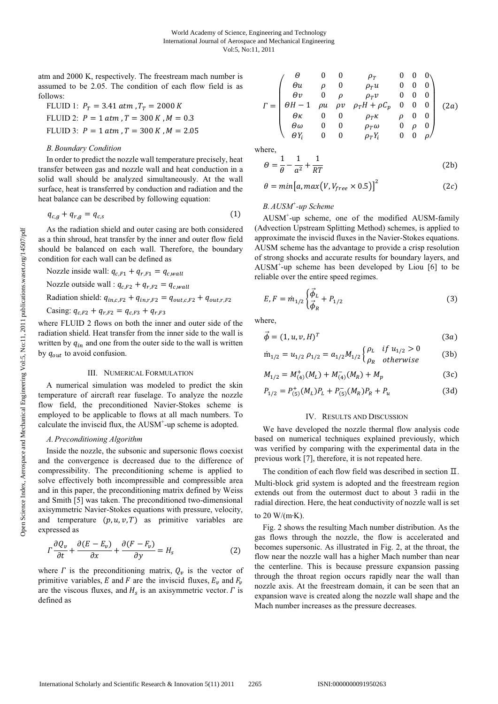atm and 2000 K, respectively. The freestream mach number is assumed to be 2.05. The condition of each flow field is as follows:

FLUID 1: 
$$
P_T = 3.41 \text{ atm}, T_T = 2000 \text{ K}
$$
  
FLUID 2:  $P = 1 \text{ atm}, T = 300 \text{ K}, M = 0.3$   
FLUID 3:  $P = 1 \text{ atm}, T = 300 \text{ K}, M = 2.05$ 

#### *B. Boundary Condition*

In order to predict the nozzle wall temperature precisely, heat transfer between gas and nozzle wall and heat conduction in a solid wall should be analyzed simultaneously. At the wall surface, heat is transferred by conduction and radiation and the heat balance can be described by following equation:

$$
q_{c,g} + q_{r,g} = q_{c,s} \tag{1}
$$

As the radiation shield and outer casing are both considered as a thin shroud, heat transfer by the inner and outer flow field should be balanced on each wall. Therefore, the boundary condition for each wall can be defined as

Nozzle inside wall:  $q_{c,F1} + q_{r,F1} = q_{c,wall}$ Nozzle outside wall :  $q_{c,F2} + q_{r,F2} = q_{c,wall}$ Radiation shield:  $q_{inc,F2} + q_{in,r,F2} = q_{out,c,F2} + q_{out,r,F2}$ Casing:  $q_{c,F2} + q_{r,F2} = q_{c,F3} + q_{r,F3}$ 

where FLUID 2 flows on both the inner and outer side of the radiation shield. Heat transfer from the inner side to the wall is written by  $q_{in}$  and one from the outer side to the wall is written by  $q_{out}$  to avoid confusion.

### III. NUMERICAL FORMULATION

A numerical simulation was modeled to predict the skin temperature of aircraft rear fuselage. To analyze the nozzle flow field, the preconditioned Navier-Stokes scheme is employed to be applicable to flows at all mach numbers. To calculate the inviscid flux, the AUSM<sup>+</sup>-up scheme is adopted.

#### *A. Preconditioning Algorithm*

Inside the nozzle, the subsonic and supersonic flows coexist and the convergence is decreased due to the difference of compressibility. The preconditioning scheme is applied to solve effectively both incompressible and compressible area and in this paper, the preconditioning matrix defined by Weiss and Smith [5] was taken. The preconditioned two-dimensional axisymmetric Navier-Stokes equations with pressure, velocity, and temperature  $(p, u, v, T)$  as primitive variables are expressed as

$$
\Gamma \frac{\partial Q_v}{\partial t} + \frac{\partial (E - E_v)}{\partial x} + \frac{\partial (F - F_v)}{\partial y} = H_s \tag{2}
$$

where  $\Gamma$  is the preconditioning matrix,  $Q_v$  is the vector of primitive variables, E and F are the inviscid fluxes,  $E_v$  and  $F_v$ are the viscous fluxes, and  $H_s$  is an axisymmetric vector.  $\Gamma$  is defined as

$$
\Gamma = \begin{pmatrix}\n\theta & 0 & 0 & \rho_T & 0 & 0 & 0 \\
\theta u & \rho & 0 & \rho_T u & 0 & 0 & 0 \\
\theta v & 0 & \rho & \rho_T v & 0 & 0 & 0 \\
\theta H - 1 & \rho u & \rho v & \rho_T H + \rho C_p & 0 & 0 & 0 \\
\theta \kappa & 0 & 0 & \rho_T \kappa & \rho & 0 & 0 \\
\theta \omega & 0 & 0 & \rho_T \omega & 0 & \rho & 0 \\
\theta V_i & 0 & 0 & \rho_T Y_i & 0 & 0 & \rho\n\end{pmatrix} (2a)
$$

where,

$$
\theta = \frac{1}{\theta} - \frac{1}{a^2} + \frac{1}{RT}
$$
 (2b)

$$
\theta = \min[a, \max(V, V_{free} \times 0.5)]^2
$$
 (2c)

# *B. AUSM+ -up Scheme*

AUSM<sup>+</sup> -up scheme, one of the modified AUSM-family (Advection Upstream Splitting Method) schemes, is applied to approximate the inviscid fluxes in the Navier-Stokes equations. AUSM scheme has the advantage to provide a crisp resolution of strong shocks and accurate results for boundary layers, and AUSM<sup>+</sup> -up scheme has been developed by Liou [6] to be reliable over the entire speed regimes.

$$
E, F = \dot{m}_{1/2} \begin{cases} \vec{\phi}_L \\ \vec{\phi}_R \end{cases} + P_{1/2} \tag{3}
$$

where,

$$
\vec{\phi} = (1, u, v, H)^T \tag{3a}
$$

$$
\dot{m}_{1/2} = u_{1/2} \rho_{1/2} = a_{1/2} M_{1/2} \begin{cases} \rho_L & \text{if } u_{1/2} > 0 \\ \rho_R & \text{otherwise} \end{cases}
$$
 (3b)

$$
M_{1/2} = M_{(4)}^+(M_L) + M_{(4)}^-(M_R) + M_p \tag{3c}
$$

$$
P_{1/2} = P_{(5)}^+(M_L)P_L + P_{(5)}^-(M_R)P_R + P_u \tag{3d}
$$

### IV. RESULTS AND DISCUSSION

We have developed the nozzle thermal flow analysis code based on numerical techniques explained previously, which was verified by comparing with the experimental data in the previous work [7], therefore, it is not repeated here.

The condition of each flow field was described in section  $\Pi$ . Multi-block grid system is adopted and the freestream region extends out from the outermost duct to about 3 radii in the radial direction. Here, the heat conductivity of nozzle wall is set

## to 20 W/(m·K).

Fig. 2 shows the resulting Mach number distribution. As the gas flows through the nozzle, the flow is accelerated and becomes supersonic. As illustrated in Fig. 2, at the throat, the flow near the nozzle wall has a higher Mach number than near the centerline. This is because pressure expansion passing through the throat region occurs rapidly near the wall than nozzle axis. At the freestream domain, it can be seen that an expansion wave is created along the nozzle wall shape and the Mach number increases as the pressure decreases.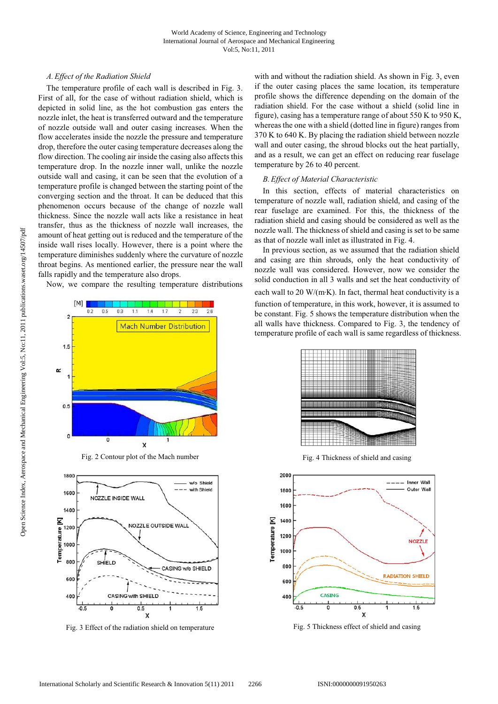## *A. Effect of the Radiation Shield*

The temperature profile of each wall is described in Fig. 3. First of all, for the case of without radiation shield, which is depicted in solid line, as the hot combustion gas enters the nozzle inlet, the heat is transferred outward and the temperature of nozzle outside wall and outer casing increases. When the flow accelerates inside the nozzle the pressure and temperature drop, therefore the outer casing temperature decreases along the flow direction. The cooling air inside the casing also affects this temperature drop. In the nozzle inner wall, unlike the nozzle outside wall and casing, it can be seen that the evolution of a temperature profile is changed between the starting point of the converging section and the throat. It can be deduced that this phenomenon occurs because of the change of nozzle wall thickness. Since the nozzle wall acts like a resistance in heat transfer, thus as the thickness of nozzle wall increases, the amount of heat getting out is reduced and the temperature of the inside wall rises locally. However, there is a point where the temperature diminishes suddenly where the curvature of nozzle throat begins. As mentioned earlier, the pressure near the wall falls rapidly and the temperature also drops.

Now, we compare the resulting temperature distributions



Fig. 2 Contour plot of the Mach number



Fig. 3 Effect of the radiation shield on temperature Fig. 5 Thickness effect of shield and casing

with and without the radiation shield. As shown in Fig. 3, even if the outer casing places the same location, its temperature profile shows the difference depending on the domain of the radiation shield. For the case without a shield (solid line in figure), casing has a temperature range of about 550 K to 950 K, whereas the one with a shield (dotted line in figure) ranges from 370 K to 640 K. By placing the radiation shield between nozzle wall and outer casing, the shroud blocks out the heat partially, and as a result, we can get an effect on reducing rear fuselage temperature by 26 to 40 percent.

## *B. Effect of Material Characteristic*

In this section, effects of material characteristics on temperature of nozzle wall, radiation shield, and casing of the rear fuselage are examined. For this, the thickness of the radiation shield and casing should be considered as well as the nozzle wall. The thickness of shield and casing is set to be same as that of nozzle wall inlet as illustrated in Fig. 4.

In previous section, as we assumed that the radiation shield and casing are thin shrouds, only the heat conductivity of nozzle wall was considered. However, now we consider the solid conduction in all 3 walls and set the heat conductivity of each wall to 20 W/(m·K). In fact, thermal heat conductivity is a function of temperature, in this work, however, it is assumed to be constant. Fig. 5 shows the temperature distribution when the all walls have thickness. Compared to Fig. 3, the tendency of temperature profile of each wall is same regardless of thickness.



Fig. 4 Thickness of shield and casing